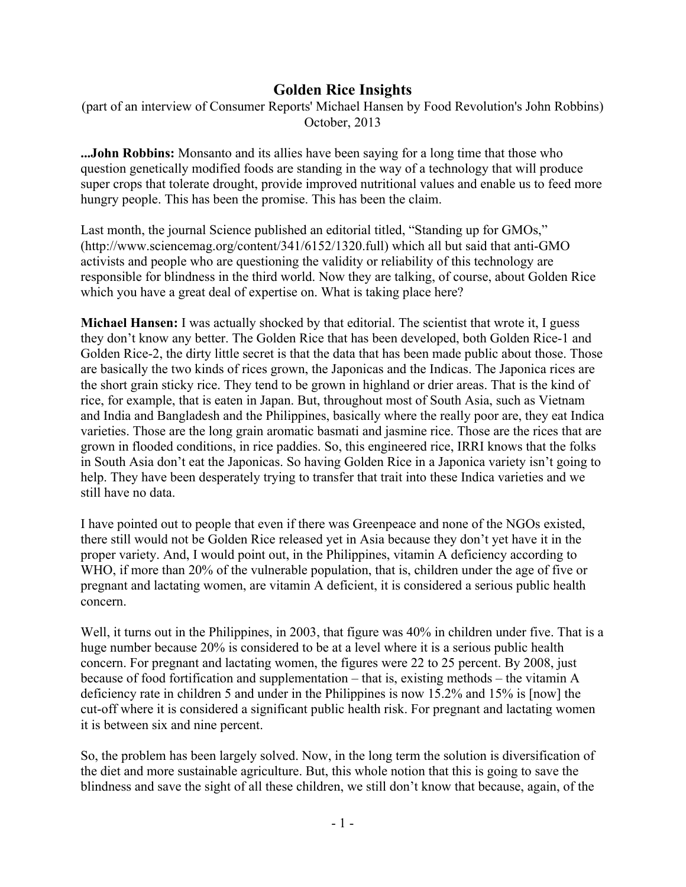## **Golden Rice Insights**

(part of an interview of Consumer Reports' Michael Hansen by Food Revolution's John Robbins) October, 2013

**...John Robbins:** Monsanto and its allies have been saying for a long time that those who question genetically modified foods are standing in the way of a technology that will produce super crops that tolerate drought, provide improved nutritional values and enable us to feed more hungry people. This has been the promise. This has been the claim.

Last month, the journal Science published an editorial titled, "Standing up for GMOs," (http://www.sciencemag.org/content/341/6152/1320.full) which all but said that anti-GMO activists and people who are questioning the validity or reliability of this technology are responsible for blindness in the third world. Now they are talking, of course, about Golden Rice which you have a great deal of expertise on. What is taking place here?

**Michael Hansen:** I was actually shocked by that editorial. The scientist that wrote it, I guess they don't know any better. The Golden Rice that has been developed, both Golden Rice-1 and Golden Rice-2, the dirty little secret is that the data that has been made public about those. Those are basically the two kinds of rices grown, the Japonicas and the Indicas. The Japonica rices are the short grain sticky rice. They tend to be grown in highland or drier areas. That is the kind of rice, for example, that is eaten in Japan. But, throughout most of South Asia, such as Vietnam and India and Bangladesh and the Philippines, basically where the really poor are, they eat Indica varieties. Those are the long grain aromatic basmati and jasmine rice. Those are the rices that are grown in flooded conditions, in rice paddies. So, this engineered rice, IRRI knows that the folks in South Asia don't eat the Japonicas. So having Golden Rice in a Japonica variety isn't going to help. They have been desperately trying to transfer that trait into these Indica varieties and we still have no data.

I have pointed out to people that even if there was Greenpeace and none of the NGOs existed, there still would not be Golden Rice released yet in Asia because they don't yet have it in the proper variety. And, I would point out, in the Philippines, vitamin A deficiency according to WHO, if more than 20% of the vulnerable population, that is, children under the age of five or pregnant and lactating women, are vitamin A deficient, it is considered a serious public health concern.

Well, it turns out in the Philippines, in 2003, that figure was 40% in children under five. That is a huge number because 20% is considered to be at a level where it is a serious public health concern. For pregnant and lactating women, the figures were 22 to 25 percent. By 2008, just because of food fortification and supplementation – that is, existing methods – the vitamin A deficiency rate in children 5 and under in the Philippines is now 15.2% and 15% is [now] the cut-off where it is considered a significant public health risk. For pregnant and lactating women it is between six and nine percent.

So, the problem has been largely solved. Now, in the long term the solution is diversification of the diet and more sustainable agriculture. But, this whole notion that this is going to save the blindness and save the sight of all these children, we still don't know that because, again, of the